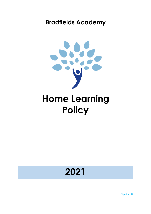### **Bradfields Academy**



# **Home Learning Policy**

## **2021**

Page **1** of **8**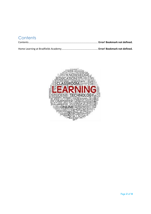### **Contents**

Home Learning at Bradfields Academy.................................................... **Error! Bookmark not defined.**

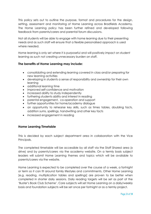This policy sets out to outline the purpose, format and procedures for the design, setting, assessment and monitoring of Home Learning across Bradfields Academy. The Home Learning policy has been further refined and developed following feedback from parents/carers and parental forum discussions.

Not all students will be able to engage with home learning due to their presenting needs and as such staff will ensure that a flexible personalised approach is used where needed.

Home learning is only set where it is purposeful and will positively impact on student learning as such not creating unnecessary burden on staff.

#### **The benefits of Home Learning may include:**

- consolidating and extending learning covered in class and/or preparing for new learning activities
- developing in students a sense of responsibility and ownership for their own learning
- additional learning time
- improved self-confidence and motivation
- increased ability to study independently
- furthering students ability and interest in reading
- parental engagement, co-operation and support
- further opportunities for home/academy dialogue
- an opportunity to rehearse key skills, such as times tables, doubling facts, addition sums, spellings, handwriting and other key facts
- increased engagement in reading

#### **Home Learning Timetable**

This is decided by each subject department area in collaboration with the Vice Principals.

The completed timetable will be accessible by all staff via the Staff Shared area (x drive) and by parents/carers via the academy website. On a termly basis subject leaders will submit Home Learning themes and topics which will be available to parents/carers via the website.

Home Learning is expected to be completed over the course of a week, a fortnight or term so it can fit around family lifestyles and commitments. Other Home Learning [e.g. reading, multiplication tables and spellings] are proven to be better when completed in shorter daily sessions. Daily reading targets will be set as part of the 'Buster's Book Club Scheme'. Core subjects will set Home Learning on a daily/weekly basis and foundation subjects will be set once per fortnight or as a termly project.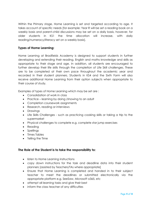Within the Primary stage, Home Learning is set and targeted according to age. It takes account of specific needs [for example: Year R will be set a reading book on a weekly basis and parent-child discussions may be set on a daily basis, however, for older students in KS1 the time allocation will increase, with daily reading/numeracy/literacy set on a weekly basis].

#### **Types of Home Learning:**

Home Learning at Bradfields Academy is designed to support students in further developing and extending their reading, English and maths knowledge and skills as appropriate to their stage and age. In addition, all students are encouraged to further develop their life skills through the completion of Life Skill challenges. These are to be completed at their own pace throughout the academic year and recorded in their student planners. Students in KS4 and the Sixth Form will also receive additional Home Learning from their option subjects when appropriate to their course of study.

Examples of types of Home Learning which may be set are :

- Consolidation of work in class
- Practice learning by doing /showing to an adult
- Completion coursework assignments
- Research, reading or interviews
- Drawings
- Life Skills Challenges such as practicing cooking skills or taking a trip to the supermarket
- Physical challenges to complete e.g. complete star jump exercises
- Reading
- Spellings
- Times Tables
- Telling the Time

#### **The Role of the Student is to take the responsibility to:**

- listen to Home Learning instructions
- copy down instructions for the task and deadline data into their student planners [assisted by Teachers/TAs where appropriate]
- Ensure that Home Learning is completed and handed in to their subject teacher to meet the deadlines or submitted electronically via the appropriate platform e.g. SeeSaw, Microsoft o365, etc
- attempt all learning tasks and give their best
- inform the class teacher of any difficulties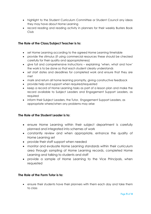- highlight to the Student Curriculum Committee or Student Council any ideas they may have about Home Learning
- record reading and reading activity in planners for their weekly Busters Book Club

#### **The Role of the Class/Subject Teacher is to:**

- set Home Learning according to the agreed Home Learning timetable
- provide the stimulus (if using commercial resources these should be checked carefully for their quality and appropriateness)
- give full and comprehensive instructions explaining 'when, what and how' the work is to be done so that each student clearly understands
- set start dates and deadlines for completed work and ensure that they are met
- mark and return all home learning promptly, giving constructive feedback
- provide help and support when required/requested
- keep a record of Home Learning tasks as part of a lesson plan and make the record available to Subject Leaders and Engagement Support Leaders, as required
- inform their Subject Leaders, the Tutor, Engagement Support Leaders, as appropriate where/when any problems may arise

#### **The Role of the Student Leader is to:**

- ensure Home Learning within their subject department is carefully planned and integrated into schemes of work
- constantly review and when appropriate, enhance the quality of Home Learning set
- provide their staff support when needed
- monitor and evaluate Home Learning standards within their curriculum area through sampling of Home Learning records, completed Home Learning and talking to students and staff
- provide a sample of Home Learning to the Vice Principals, when requested

#### **The Role of the Form Tutor is to:**

• ensure their students have their planners with them each day and take them to class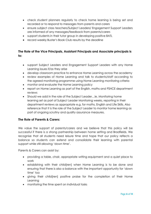- check student planners regularly to check home learning is being set and recorded or to respond to messages from parents and carers
- ensure subject class teachers/Subject Leaders/ Engagement Support Leaders are informed of any messages/feedback from parents/carers
- support students in their tutor group in developing positive BATL
- record weekly Buster's Book Club results by the deadline

#### **The Role of the Vice Principals, Assistant Principals and Associate principals is to:**

- support Subject Leaders and Engagement Support Leaders with any Home Learning issues if/as they arise
- develop classroom practice to enhance Home Learning across the academy
- review examples of Home Learning and talk to students/staff according to the agreed monitoring programme using Home Learning monitoring criteria
- monitor and evaluate the Home Learning policy
- report on Home Learning as part of the English, maths and PSHCE department reviews
- Should we add in the role of the Subject Leader…ie. Monitoring home learning set as part of Subject Leader Monitoring weeks, reporting in their department reviews as appropriate e.g. for maths, English and Life Skills. Also reference that It is the role of the Subject Leader to monitor home learning as part of ongoing scrutiny and quality assurance measures.

#### **The Role of Parents & Carers:**

We value the support of parents/carers and we believe that this policy will be successful if there is a strong partnership between home setting and Bradfields. We recognise that all students need leisure time and hope that our policy reflects a balance so students can extend and consolidate their learning with parental support while still allowing 'down time'.

Parents & Carers can assist by:

- providing a table, chair, appropriate writing equipment and a quiet place to work
- establishing with their child[ren] when Home Learning is to be done and ensuring that there is also a balance with the important opportunity for 'down time' too
- giving their child[ren] positive praise for the completion of their Home Learning
- monitoring the time spent on individual tasks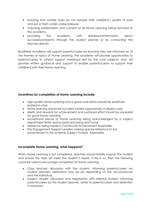- ensuring that outside clubs do not hamper their child[ren]'s quality of work and put a them under undue pressure
- checking presentation and content of all Home Learning being returned to the academy
- providing the academy with feedback/information about successes/problems through the student planner or by contacting the teacher directly

Bradfields Academy will support parents/carers by ensuring they are informed on of the themes or topics of Home Learning. The academy will provide opportunities to parents/carers to attend support workshops led for the core subjects; and, will provide written guidance and support to enable parents/carers to support their child[ren] with their Home Learning.

#### **Incentives for completion of Home Learning include:**

- high quality Home Learning and a good work ethos should be sensitively praised in class
- Home learning should be included [where appropriate] in display work
- Merits and rewards for achievement and sustained effort should be awarded for good Home Learning
- exceptional pieces of Home Learning being acknowledged by a subject department letter and/or postcard being sent home
- reference being made in Community Achievement Assemblies
- the Engagement Support Leaders making special reference to the achievement in the bi-termly Subject Awards Assemblies

#### **Incomplete Home Learning, what happens?**

When Home Learning is not completed, teachers should initially support the student and ensure the tasks set meet the student's needs. If this is so, then the following could be used to encourage completion of Home Learning:

- Class teacher: discussion with the student, informing parents/carers via student planners, detentions may be set depending on the circumstances and the individual.
- Subject Leader: discussion and negotiation with referred student, informing parents/carers by the student planner. Letter to parents/carers and detention if necessary.